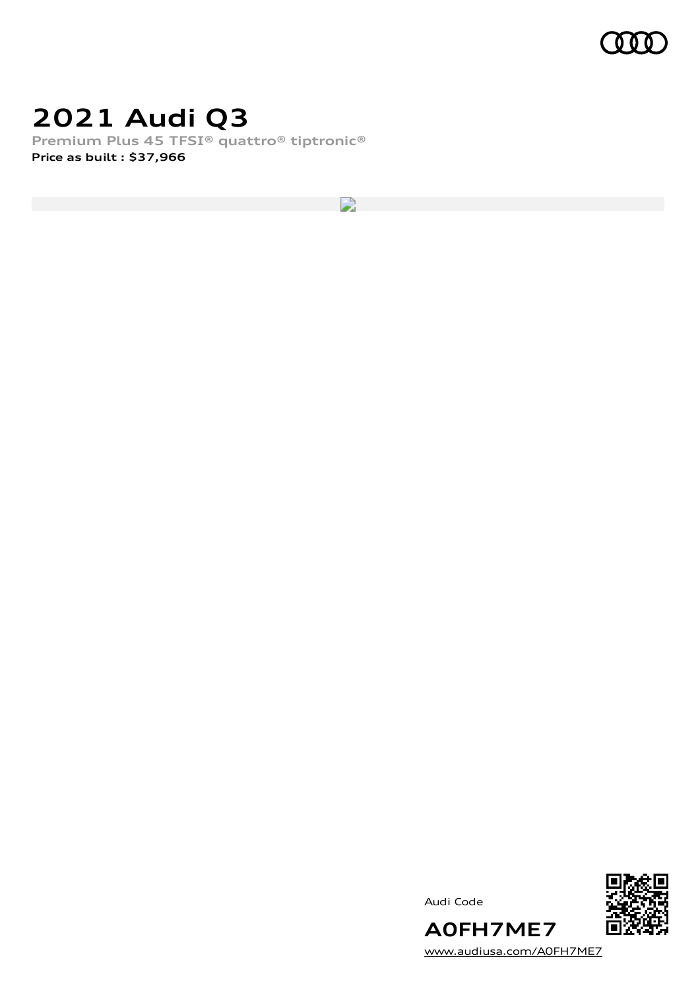

### **2021 Audi Q3**

**Premium Plus 45 TFSI® quattro® tiptronic® Price as built [:](#page-10-0) \$37,966**

R





[www.audiusa.com/A0FH7ME7](https://www.audiusa.com/A0FH7ME7)

**A0FH7ME7**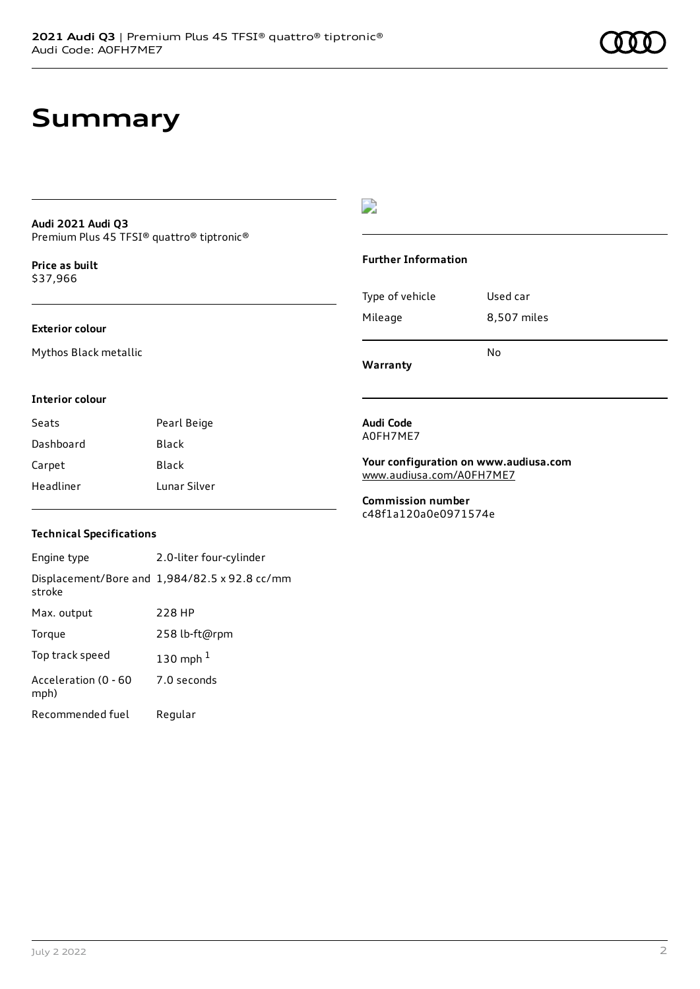### **Summary**

#### **Audi 2021 Audi Q3** Premium Plus 45 TFSI® quattro® tiptronic®

**Price as buil[t](#page-10-0)** \$37,966

#### **Exterior colour**

Mythos Black metallic

#### D

#### **Further Information**

|                 | N٥          |
|-----------------|-------------|
| Mileage         | 8,507 miles |
| Type of vehicle | Used car    |

**Warranty**

#### **Interior colour**

| Seats     | Pearl Beige  |
|-----------|--------------|
| Dashboard | <b>Black</b> |
| Carpet    | Black        |
| Headliner | Lunar Silver |

#### **Audi Code** A0FH7ME7

**Your configuration on www.audiusa.com** [www.audiusa.com/A0FH7ME7](https://www.audiusa.com/A0FH7ME7)

**Commission number** c48f1a120a0e0971574e

#### **Technical Specifications**

Engine type 2.0-liter four-cylinder Displacement/Bore and 1,984/82.5 x 92.8 cc/mm stroke Max. output 228 HP Torque 258 lb-ft@rpm Top track speed [1](#page-10-0)30 mph $<sup>1</sup>$ </sup> Acceleration (0 - 60 mph) 7.0 seconds Recommended fuel Regular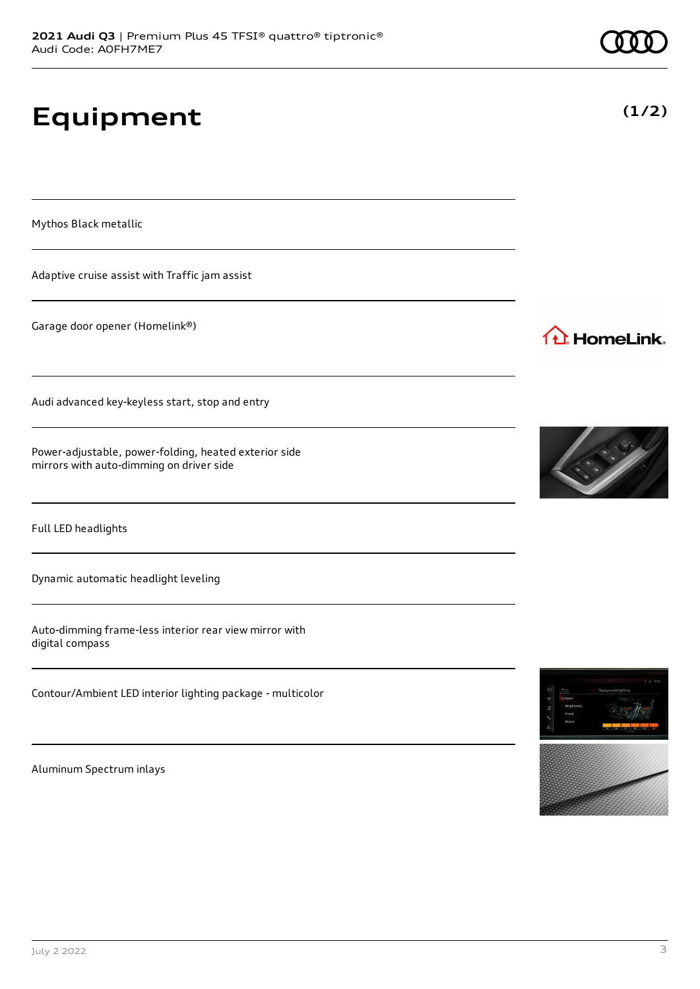# **Equipment**

Mythos Black metallic

Adaptive cruise assist with Traffic jam assist

Garage door opener (Homelink®)

Audi advanced key-keyless start, stop and entry

Power-adjustable, power-folding, heated exterior side mirrors with auto-dimming on driver side

Full LED headlights

Dynamic automatic headlight leveling

Auto-dimming frame-less interior rear view mirror with digital compass

Contour/Ambient LED interior lighting package - multicolor

Aluminum Spectrum inlays



1<sup>1</sup> HomeLink.





**(1/2)**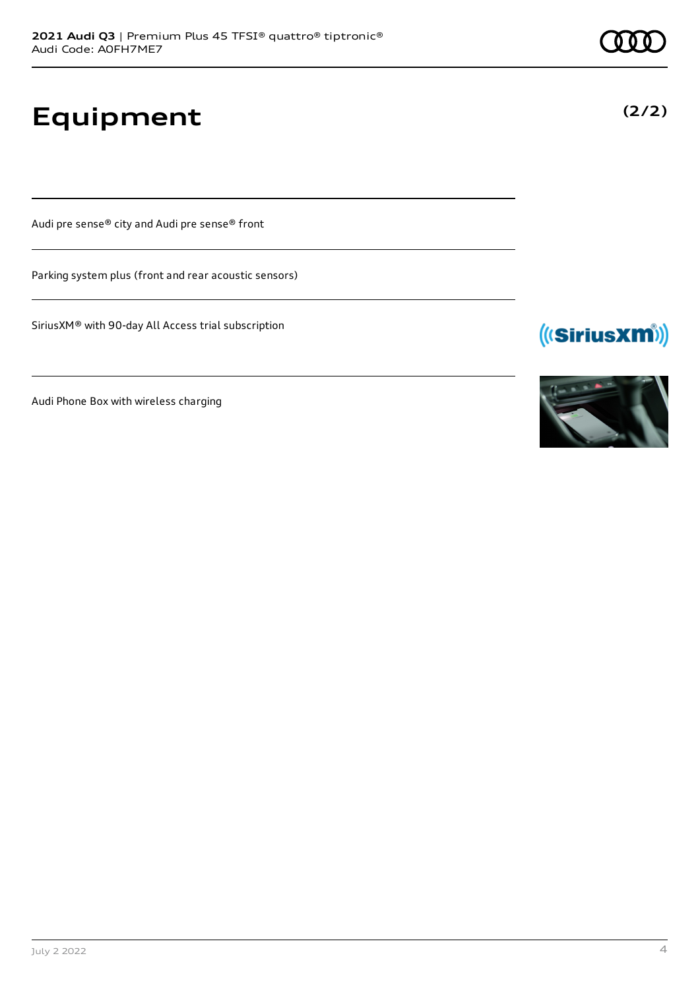**Equipment**

Audi pre sense® city and Audi pre sense® front

Parking system plus (front and rear acoustic sensors)

SiriusXM® with 90-day All Access trial subscription

Audi Phone Box with wireless charging



(((SiriusXM))



**(2/2)**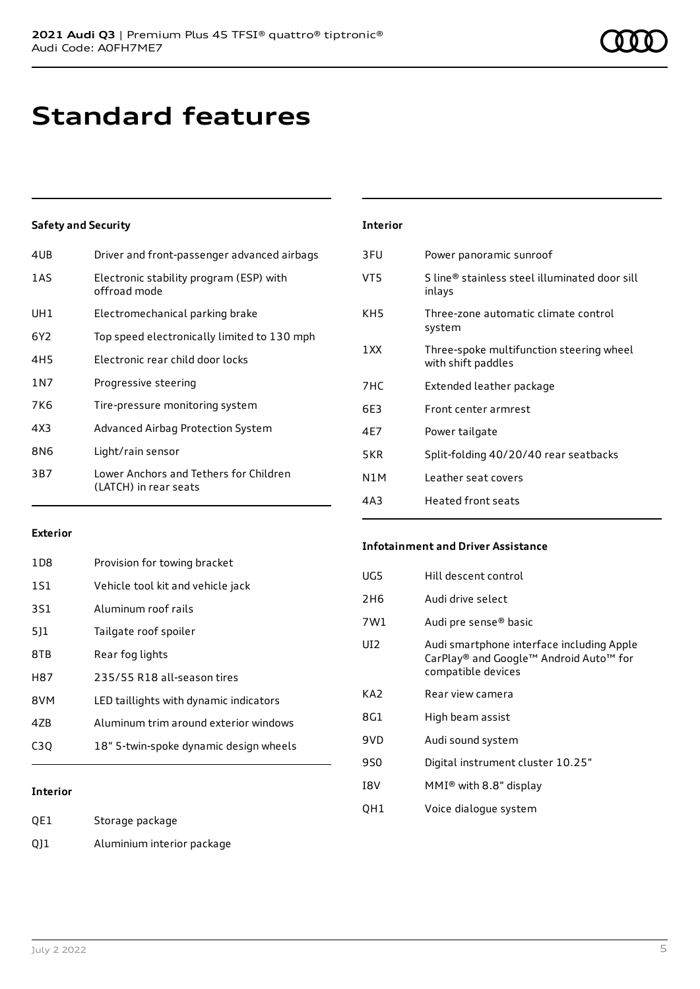### **Standard features**

#### **Safety and Security**

| 4UB             | Driver and front-passenger advanced airbags                     |
|-----------------|-----------------------------------------------------------------|
| 1AS             | Electronic stability program (ESP) with<br>offroad mode         |
| UH1             | Electromechanical parking brake                                 |
| 6Y <sub>2</sub> | Top speed electronically limited to 130 mph                     |
| 4H <sub>5</sub> | Electronic rear child door locks                                |
| 1 N 7           | Progressive steering                                            |
| 7K6             | Tire-pressure monitoring system                                 |
| 4X3             | Advanced Airbag Protection System                               |
| 8N6             | Light/rain sensor                                               |
| 3B7             | Lower Anchors and Tethers for Children<br>(LATCH) in rear seats |
|                 |                                                                 |

### **Interior** 3FU Power panoramic sunroof VT5 S line® stainless steel illuminated door sill inlays KH5 Three-zone automatic climate control system 1XX Three-spoke multifunction steering wheel with shift paddles 7HC Extended leather package 6E3 Front center armrest 4E7 Power tailgate

| 4 C / | POWER Langue                          |
|-------|---------------------------------------|
| 5KR   | Split-folding 40/20/40 rear seatbacks |
| N1M   | Leather seat covers                   |
| 4A3   | Heated front seats                    |

#### **Exterior**

| 1D8 | Provision for towing bracket           |
|-----|----------------------------------------|
| 1S1 | Vehicle tool kit and vehicle jack      |
| 3S1 | Aluminum roof rails                    |
| 511 | Tailgate roof spoiler                  |
| 8TB | Rear fog lights                        |
| H87 | 235/55 R18 all-season tires            |
| 8VM | LED taillights with dynamic indicators |
| 47B | Aluminum trim around exterior windows  |
| C3O | 18" 5-twin-spoke dynamic design wheels |

#### **Interior**

QE1 Storage package

QJ1 Aluminium interior package

#### **Infotainment and Driver Assistance**

| Audi drive select<br>2H <sub>6</sub>                                                                             |  |
|------------------------------------------------------------------------------------------------------------------|--|
| 7W1<br>Audi pre sense® basic                                                                                     |  |
| UD.<br>Audi smartphone interface including Apple<br>CarPlay® and Google™ Android Auto™ for<br>compatible devices |  |
| KA2<br>Rear view camera                                                                                          |  |
| 8G1<br>High beam assist                                                                                          |  |
| Audi sound system<br>9VD                                                                                         |  |
| Digital instrument cluster 10.25"<br>9S0                                                                         |  |
| MMI® with 8.8" display<br>I8V                                                                                    |  |
| Voice dialogue system<br>QH1                                                                                     |  |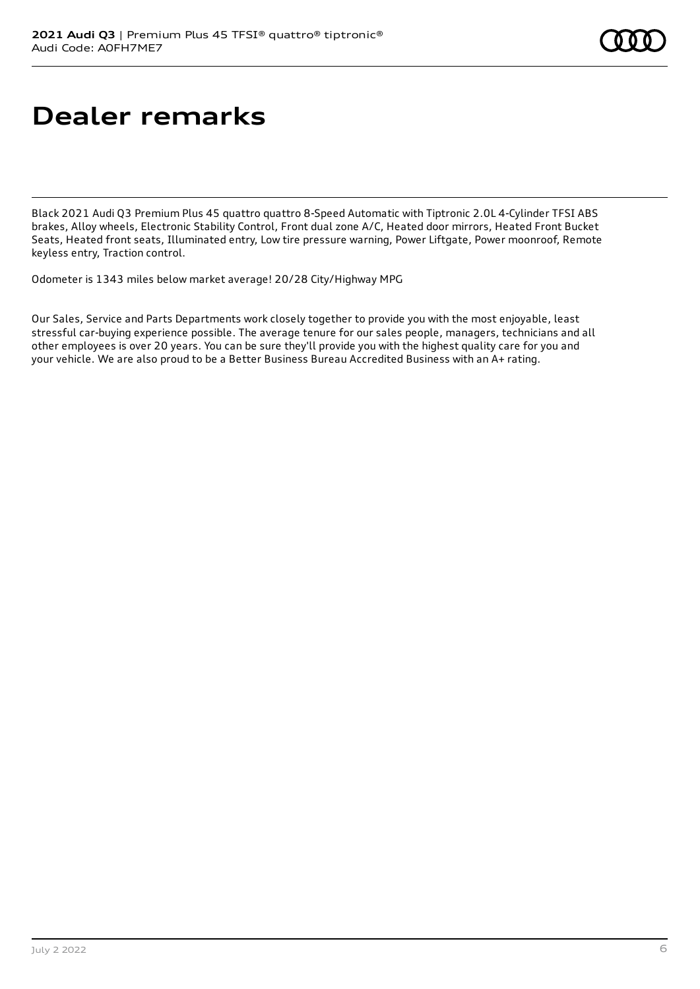## **Dealer remarks**

Black 2021 Audi Q3 Premium Plus 45 quattro quattro 8-Speed Automatic with Tiptronic 2.0L 4-Cylinder TFSI ABS brakes, Alloy wheels, Electronic Stability Control, Front dual zone A/C, Heated door mirrors, Heated Front Bucket Seats, Heated front seats, Illuminated entry, Low tire pressure warning, Power Liftgate, Power moonroof, Remote keyless entry, Traction control.

Odometer is 1343 miles below market average! 20/28 City/Highway MPG

Our Sales, Service and Parts Departments work closely together to provide you with the most enjoyable, least stressful car-buying experience possible. The average tenure for our sales people, managers, technicians and all other employees is over 20 years. You can be sure they'll provide you with the highest quality care for you and your vehicle. We are also proud to be a Better Business Bureau Accredited Business with an A+ rating.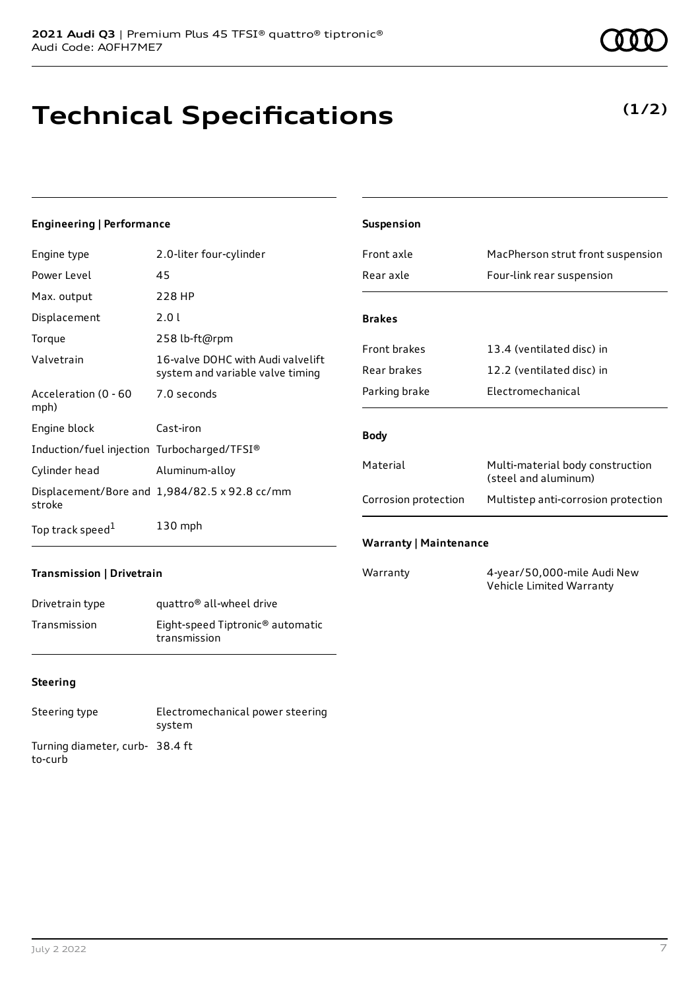# **Technical Specifications**

### **(1/2)**

#### **Engineering | Performance**

| Engine type                                 | 2.0-liter four-cylinder                                               |
|---------------------------------------------|-----------------------------------------------------------------------|
| Power Level                                 | 45                                                                    |
| Max. output                                 | 228 HP                                                                |
| Displacement                                | 2.0 L                                                                 |
| Torque                                      | 258 lb-ft@rpm                                                         |
| Valvetrain                                  | 16-valve DOHC with Audi valvelift<br>system and variable valve timing |
| Acceleration (0 - 60<br>mph)                | 7.0 seconds                                                           |
| Engine block                                | Cast-iron                                                             |
| Induction/fuel injection Turbocharged/TFSI® |                                                                       |
| Cylinder head                               | Aluminum-alloy                                                        |
| stroke                                      | Displacement/Bore and 1,984/82.5 x 92.8 cc/mm                         |
| Top track speed <sup>1</sup>                | $130$ mph                                                             |

| <b>Suspension</b>             |                                                          |
|-------------------------------|----------------------------------------------------------|
| Front axle                    | MacPherson strut front suspension                        |
| Rear axle                     | Four-link rear suspension                                |
| <b>Brakes</b>                 |                                                          |
|                               |                                                          |
| <b>Front brakes</b>           | 13.4 (ventilated disc) in                                |
| Rear brakes                   | 12.2 (ventilated disc) in                                |
| Parking brake                 | <b>Electromechanical</b>                                 |
|                               |                                                          |
| <b>Body</b>                   |                                                          |
| Material                      | Multi-material body construction<br>(steel and aluminum) |
| Corrosion protection          | Multistep anti-corrosion protection                      |
| <b>Warranty   Maintenance</b> |                                                          |

#### **Transmission | Drivetrain**

| Drivetrain type | quattro <sup>®</sup> all-wheel drive                         |
|-----------------|--------------------------------------------------------------|
| Transmission    | Eight-speed Tiptronic <sup>®</sup> automatic<br>transmission |

#### **Steering**

| Steering type                             | Electromechanical power steering<br>system |
|-------------------------------------------|--------------------------------------------|
| Turning diameter, curb-38.4 ft<br>to-curb |                                            |

Warranty 4-year/50,000-mile Audi New Vehicle Limited Warranty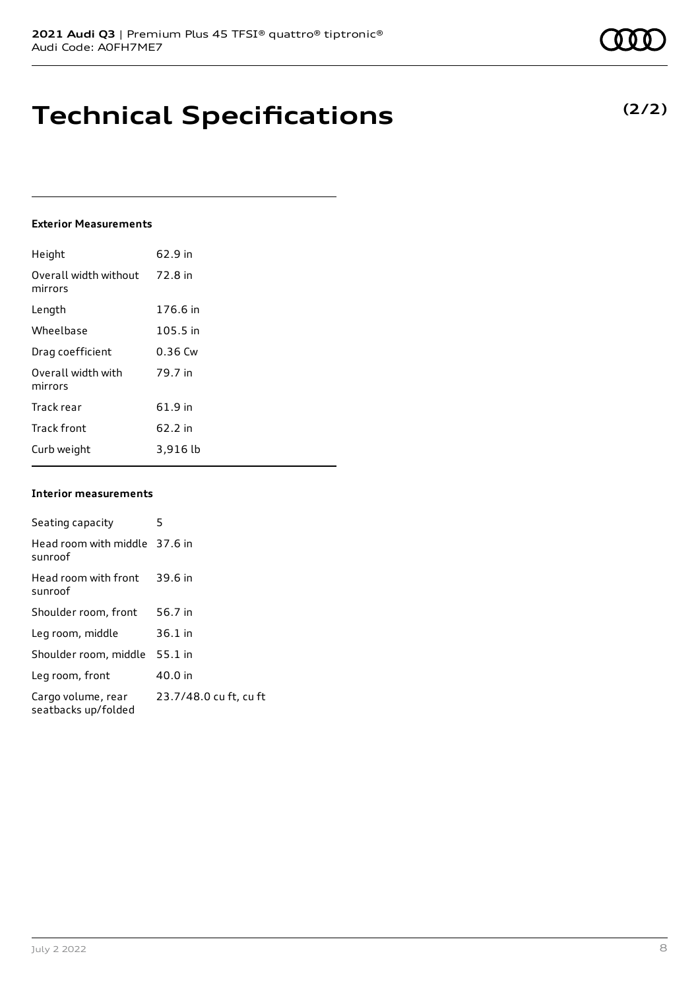### **Technical Specifications**

#### **Exterior Measurements**

| Height                           | 62.9 in   |
|----------------------------------|-----------|
| Overall width without<br>mirrors | 72.8 in   |
| Length                           | 176.6 in  |
| Wheelbase                        | 105.5 in  |
| Drag coefficient                 | $0.36$ Cw |
| Overall width with<br>mirrors    | 79.7 in   |
| Track rear                       | 61.9 in   |
| <b>Track front</b>               | 62.2 in   |
| Curb weight                      | 3,916 lb  |

#### **Interior measurements**

| Seating capacity                          | 5                      |
|-------------------------------------------|------------------------|
| Head room with middle 37.6 in<br>sunroof  |                        |
| Head room with front<br>sunroof           | 39.6 in                |
| Shoulder room, front                      | 56.7 in                |
| Leg room, middle                          | $36.1$ in              |
| Shoulder room, middle                     | $55.1$ in              |
| Leg room, front                           | 40.0 in                |
| Cargo volume, rear<br>seatbacks up/folded | 23.7/48.0 cu ft, cu ft |

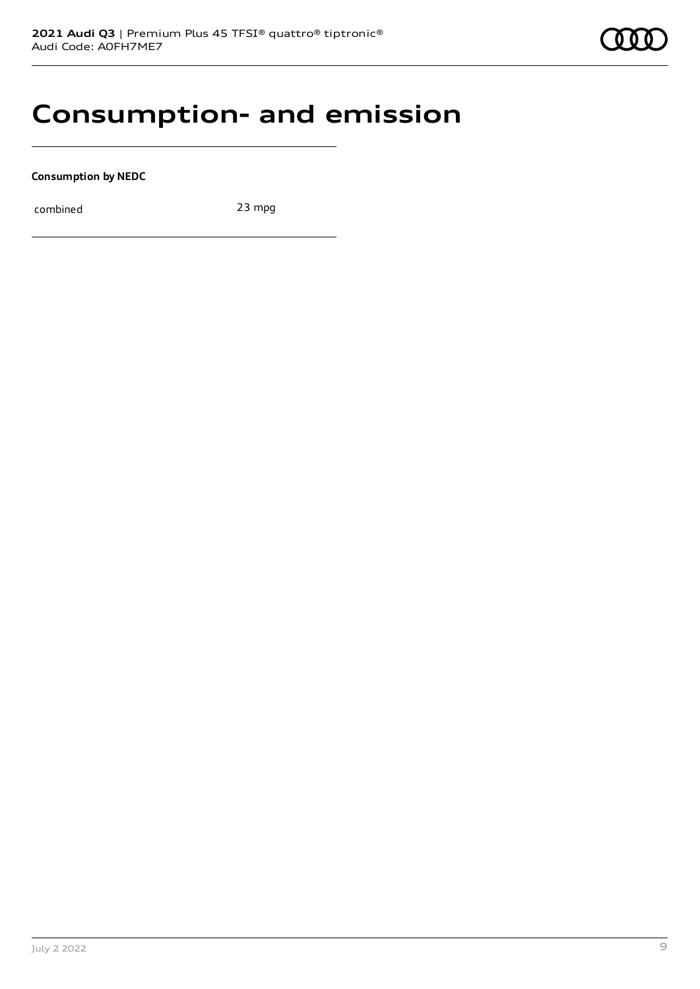

### **Consumption- and emission**

**Consumption by NEDC**

combined 23 mpg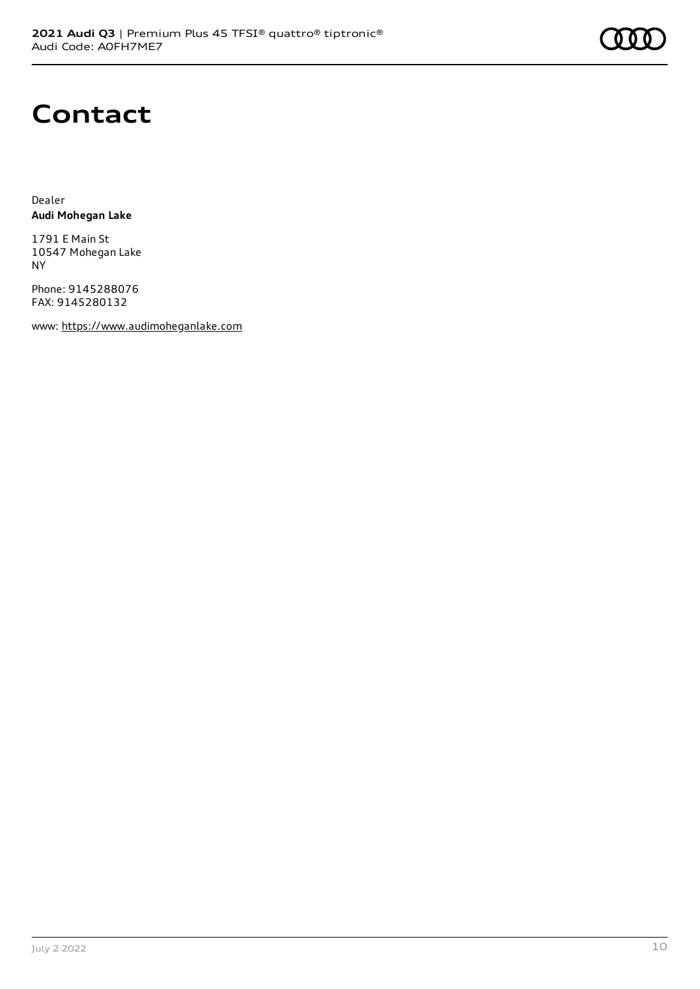

## **Contact**

Dealer **Audi Mohegan Lake**

1791 E Main St 10547 Mohegan Lake NY

Phone: 9145288076 FAX: 9145280132

www: [https://www.audimoheganlake.com](https://www.audimoheganlake.com/)